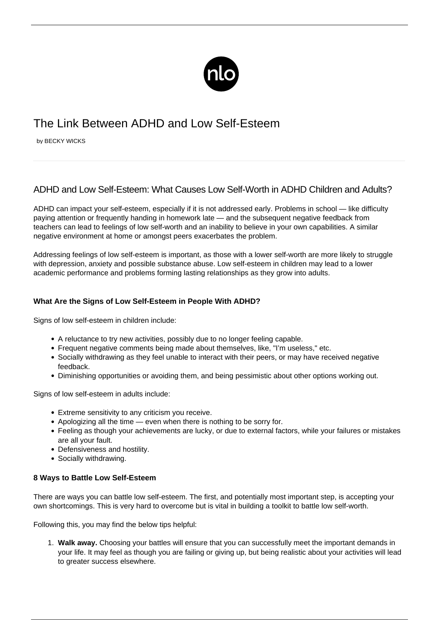

# The Link Between ADHD and Low Self-Esteem

by BECKY WICKS

## ADHD and Low Self-Esteem: What Causes Low Self-Worth in ADHD Children and Adults?

ADHD can impact your self-esteem, especially if it is not addressed early. Problems in school — like difficulty paying attention or frequently handing in homework late — and the subsequent negative feedback from teachers can lead to feelings of low self-worth and an inability to believe in your own capabilities. A similar negative environment at home or amongst peers exacerbates the problem.

Addressing feelings of low self-esteem is important, as those with a lower self-worth are more likely to [struggle](http://adhdhealth.today/adhd-living/depression-suicide-and-adhd/) [with depression,](http://adhdhealth.today/adhd-living/depression-suicide-and-adhd/) anxiety and possible substance abuse. Low self-esteem in children may lead to a lower academic performance and problems forming lasting relationships as they grow into adults.

### **What Are the Signs of Low Self-Esteem in People With ADHD?**

Signs of low self-esteem in children include:

- A reluctance to try new activities, possibly due to no longer feeling capable.
- Frequent negative comments being made about themselves, like, "I'm useless," etc.
- Socially withdrawing as they feel unable to interact with their peers, or may have received negative feedback.
- Diminishing opportunities or avoiding them, and being pessimistic about other options working out.

Signs of low self-esteem in adults include:

- Extreme sensitivity to any criticism you receive.
- Apologizing all the time even when there is nothing to be sorry for.
- Feeling as though your achievements are lucky, or due to external factors, while your failures or mistakes are all your fault.
- Defensiveness and hostility.
- Socially withdrawing.

#### **8 Ways to Battle Low Self-Esteem**

There are ways you can battle low self-esteem. The first, and potentially most important step, is accepting your own shortcomings. This is very hard to overcome but is vital in building a toolkit to battle low self-worth.

Following this, you may find the below tips helpful:

1. **Walk away.** Choosing your battles will ensure that you can successfully meet the important demands in your life. It may feel as though you are failing or giving up, but being realistic about your activities will lead to greater success elsewhere.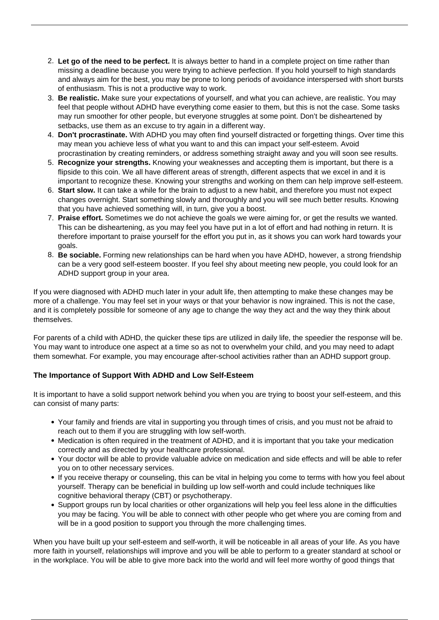- 2. **Let go of the need to be perfect.** It is always better to hand in a complete project on time rather than missing a deadline because you were trying to achieve perfection. If you hold yourself to high standards and always aim for the best, you may be prone to long periods of avoidance interspersed with short bursts of enthusiasm. This is not a productive way to work.
- 3. **Be realistic.** Make sure your expectations of yourself, and what you can achieve, are realistic. You may feel that people without ADHD have everything come easier to them, but this is not the case. Some tasks may run smoother for other people, but everyone struggles at some point. Don't be disheartened by setbacks, use them as an excuse to try again in a different way.
- 4. **Don't procrastinate.** With ADHD you may often find yourself distracted or forgetting things. Over time this may mean you achieve less of what you want to and this can impact your self-esteem. [Avoid](/adhd-and-procrastination/) [procrastination](/adhd-and-procrastination/) by creating reminders, or address something straight away and you will soon see results.
- 5. **Recognize your strengths.** Knowing your weaknesses and accepting them is important, but there is a flipside to this coin. We all have different areas of strength, different aspects that we excel in and it is important to recognize these. Knowing your strengths and working on them can help improve self-esteem.
- 6. **Start slow.** It can take a while for the brain to adjust to a new habit, and therefore you must not expect changes overnight. Start something slowly and thoroughly and you will see much better results. Knowing that you have achieved something will, in turn, give you a boost.
- 7. **Praise effort.** Sometimes we do not achieve the goals we were aiming for, or get the results we wanted. This can be disheartening, as you may feel you have put in a lot of effort and had nothing in return. It is therefore important to praise yourself for the effort you put in, as it shows you can work hard towards your goals.
- 8. **Be sociable.** Forming new relationships can be hard when you have ADHD, however, a strong friendship can be a very good self-esteem booster. If you feel shy about meeting new people, you could look for an ADHD support group in your area.

If you were diagnosed with ADHD much later in your adult life, then attempting to make these changes may be more of a challenge. You may feel set in your ways or that your behavior is now ingrained. This is not the case, and it is completely possible for someone of any age to change the way they act and the way they think about themselves.

For parents of a child with ADHD, the quicker these tips are utilized in daily life, the speedier the response will be. You may want to introduce one aspect at a time so as not to overwhelm your child, and you may need to adapt them somewhat. For example, you may encourage after-school activities rather than an ADHD support group.

### **The Importance of Support With ADHD and Low Self-Esteem**

It is important to have a solid support network behind you when you are trying to boost your self-esteem, and this can consist of many parts:

- Your family and friends are vital in supporting you through times of crisis, and you must not be afraid to reach out to them if you are struggling with low self-worth.
- Medication is often required in the treatment of ADHD, and it is important that you take your medication correctly and as directed by your healthcare professional.
- Your doctor will be able to provide valuable advice on medication and side effects and will be able to refer you on to other necessary services.
- If you receive therapy or counseling, this can be vital in helping you come to terms with how you feel about yourself. [Therapy can be beneficial](/adhd-therapy/) in building up low self-worth and could include techniques like cognitive behavioral therapy (CBT) or psychotherapy.
- Support groups run by local charities or other organizations will help you feel less alone in the difficulties you may be facing. You will be able to connect with other people who get where you are coming from and will be in a good position to support you through the more challenging times.

When you have built up your self-esteem and self-worth, it will be noticeable in all areas of your life. As you have more faith in yourself, relationships will improve and you will be able to perform to a greater standard at school or in the workplace. You will be able to give more back into the world and will feel more worthy of good things that